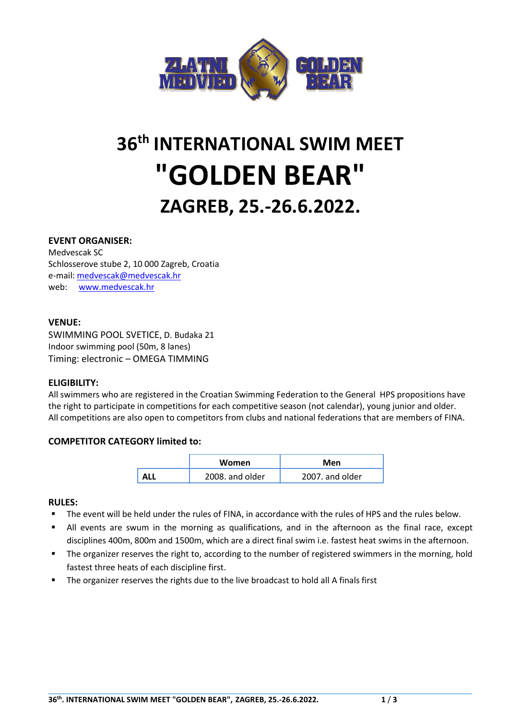

# **36 th INTERNATIONAL SWIM MEET "GOLDEN BEAR" ZAGREB, 25.-26.6.2022.**

# **EVENT ORGANISER:**

Medvescak SC Schlosserove stube 2, 10 000 Zagreb, Croatia e-mail: [medvescak@medvescak.hr](mailto:medvescak@medvescak.hr) web: [www.medvescak.hr](http://www.medvescak.hr/)

#### **VENUE:**

SWIMMING POOL SVETICE, D. Budaka 21 Indoor swimming pool (50m, 8 lanes) Timing: electronic – OMEGA TIMMING

#### **ELIGIBILITY:**

All swimmers who are registered in the Croatian Swimming Federation to the General HPS propositions have the right to participate in competitions for each competitive season (not calendar), young junior and older. All competitions are also open to competitors from clubs and national federations that are members of FINA.

# **COMPETITOR CATEGORY limited to:**

| Women           | Men             |  |
|-----------------|-----------------|--|
| 2008, and older | 2007. and older |  |

#### **RULES:**

- The event will be held under the rules of FINA, in accordance with the rules of HPS and the rules below.
- All events are swum in the morning as qualifications, and in the afternoon as the final race, except disciplines 400m, 800m and 1500m, which are a direct final swim i.e. fastest heat swims in the afternoon.
- **•** The organizer reserves the right to, according to the number of registered swimmers in the morning, hold fastest three heats of each discipline first.
- The organizer reserves the rights due to the live broadcast to hold all A finals first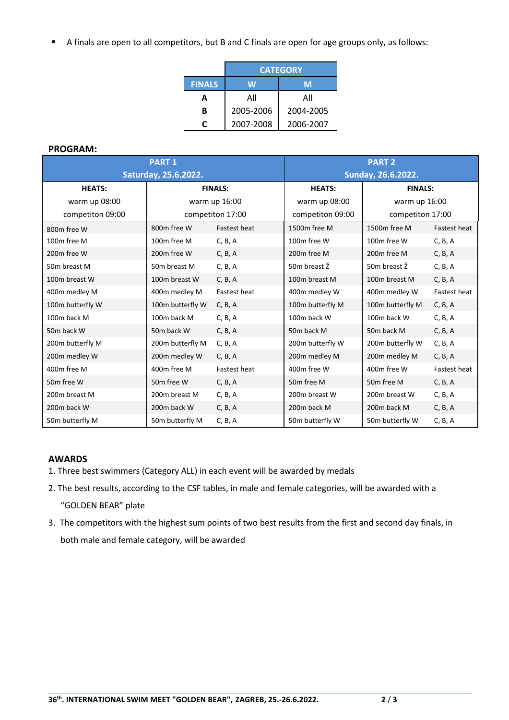■ A finals are open to all competitors, but B and C finals are open for age groups only, as follows:

|               | <b>CATEGORY</b> |           |  |
|---------------|-----------------|-----------|--|
| <b>FINALS</b> | W               | M         |  |
| А             | All             | All       |  |
| в             | 2005-2006       | 2004-2005 |  |
|               | 2007-2008       | 2006-2007 |  |

## **PROGRAM:**

| <b>PART 1</b>           |                         |                     | <b>PART 2</b>            |                           |                     |
|-------------------------|-------------------------|---------------------|--------------------------|---------------------------|---------------------|
| Saturday, 25.6.2022.    |                         |                     | Sunday, 26.6.2022.       |                           |                     |
| <b>HEATS:</b>           | <b>FINALS:</b>          |                     | <b>HEATS:</b>            | <b>FINALS:</b>            |                     |
| warm up 08:00           | warm up 16:00           |                     | warm up 08:00            | warm up 16:00             |                     |
| competiton 09:00        | competiton 17:00        |                     | competiton 09:00         | competiton 17:00          |                     |
| 800m free W             | 800m free W             | <b>Fastest heat</b> | 1500m free M             | 1500m free M              | Fastest heat        |
| 100m free M             | 100m free M             | C, B, A             | 100m free W              | 100m free W               | C, B, A             |
| 200m free W             | 200m free W             | C, B, A             | 200m free M              | 200m free M               | C, B, A             |
| 50m breast M            | 50m breast M            | C, B, A             | 50 <sub>m</sub> breast Ž | 50 <sub>m</sub> breast Ž  | C, B, A             |
| 100m breast W           | 100m breast W           | C, B, A             | 100m breast M            | 100m breast M             | C, B, A             |
| 400m medley M           | 400m medley M           | <b>Fastest heat</b> | 400m medley W            | 400m medley W             | Fastest heat        |
| 100m butterfly W        | 100m butterfly W        | C, B, A             | 100m butterfly M         | 100m butterfly M          | C, B, A             |
| 100m back M             | 100m back M             | C, B, A             | 100m back W              | 100m back W               | C, B, A             |
| 50m back W              | 50 <sub>m</sub> back W  | C, B, A             | 50m back M               | 50m back M                | C, B, A             |
| 200m butterfly M        | 200m butterfly M        | C, B, A             | 200m butterfly W         | 200m butterfly W          | C, B, A             |
| 200m medley W           | 200m medley W           | C, B, A             | 200m medley M            | 200m medley M             | C, B, A             |
| 400m free M             | 400m free M             | <b>Fastest heat</b> | 400m free W              | 400m free W               | <b>Fastest heat</b> |
| 50m free W              | 50 <sub>m</sub> free W  | C, B, A             | 50m free M               | 50m free M                | C, B, A             |
| 200m breast M           | 200m breast M           | C, B, A             | 200m breast W            | 200 <sub>m</sub> breast W | C, B, A             |
| 200 <sub>m</sub> back W | 200 <sub>m</sub> back W | C, B, A             | 200m back M              | 200 <sub>m</sub> back M   | C, B, A             |
| 50m butterfly M         | 50m butterfly M         | C, B, A             | 50m butterfly W          | 50m butterfly W           | C, B, A             |

# **AWARDS**

- 1. Three best swimmers (Category ALL) in each event will be awarded by medals
- 2. The best results, according to the CSF tables, in male and female categories, will be awarded with a "GOLDEN BEAR" plate
- 3. The competitors with the highest sum points of two best results from the first and second day finals, in both male and female category, will be awarded